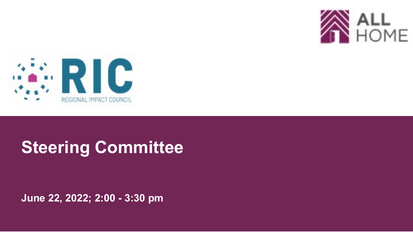



# **Steering Committee**

**June 22, 2022; 2:00 - 3:30 pm**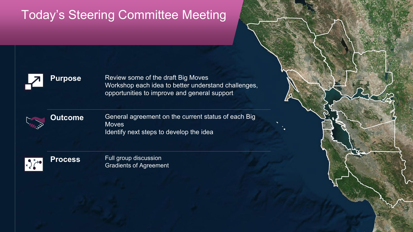# Today's Steering Committee Meeting



**Purpose** Review some of the draft Big Moves Workshop each idea to better understand challenges, opportunities to improve and general support

1



**Outcome** General agreement on the current status of each Big **Moves** Identify next steps to develop the idea

 $x \rightarrow \infty$ 

**Process** Full group discussion Gradients of Agreement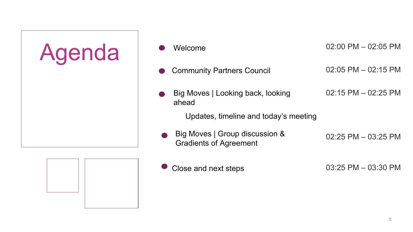

- Agenda Welcome 02:00 PM 02:05 PM Community Partners Council 02:05 PM – 02:15 PM
	- Big Moves | Looking back, looking ahead 02:15 PM – 02:25 PM

Updates, timeline and today's meeting

Big Moves | Group discussion & Gradients of Agreement 02:25 PM – 03:25 PM



Close and next steps

03:25 PM – 03:30 PM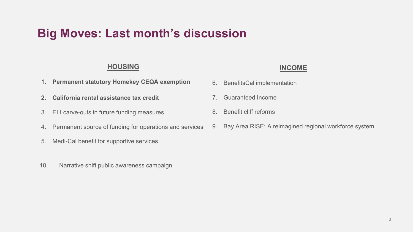### **Big Moves: Last month's discussion**

#### **HOUSING**

- **1. Permanent statutory Homekey CEQA exemption**
- **2. California rental assistance tax credit**
- 3. ELI carve-outs in future funding measures
- 4. Permanent source of funding for operations and services
- 5. Medi-Cal benefit for supportive services
- 10. Narrative shift public awareness campaign

#### **INCOME**

- 6. BenefitsCal implementation
- 7. Guaranteed Income
- 8. Benefit cliff reforms
- 9. Bay Area RISE: A reimagined regional workforce system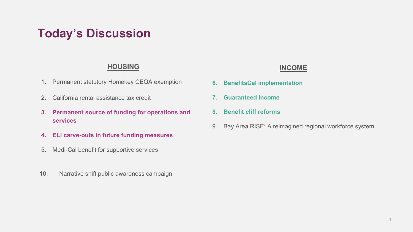## **Today's Discussion**

#### **HOUSING**

- 1. Permanent statutory Homekey CEQA exemption
- 2. California rental assistance tax credit
- **3. Permanent source of funding for operations and services**
- **4. ELI carve-outs in future funding measures**
- 5. Medi-Cal benefit for supportive services
- 10. Narrative shift public awareness campaign

#### **INCOME**

- **6. BenefitsCal implementation**
- **7. Guaranteed Income**
- **8. Benefit cliff reforms**
- 9. Bay Area RISE: A reimagined regional workforce system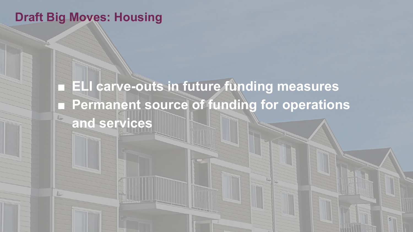### **Draft Big Moves: Housing**

**ELI carve-outs in future funding measures** ■ Permanent source of funding for operations **and services**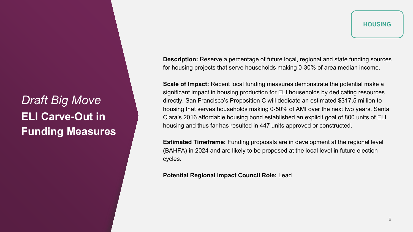*Draft Big Move* **ELI Carve-Out in Funding Measures**

**Description:** Reserve a percentage of future local, regional and state funding sources for housing projects that serve households making 0-30% of area median income.

**Scale of Impact:** Recent local funding measures demonstrate the potential make a significant impact in housing production for ELI households by dedicating resources directly. San Francisco's Proposition C will dedicate an estimated \$317.5 million to housing that serves households making 0-50% of AMI over the next two years. Santa Clara's 2016 affordable housing bond established an explicit goal of 800 units of ELI housing and thus far has resulted in 447 units approved or constructed.

**Estimated Timeframe:** Funding proposals are in development at the regional level (BAHFA) in 2024 and are likely to be proposed at the local level in future election cycles.

**Potential Regional Impact Council Role:** Lead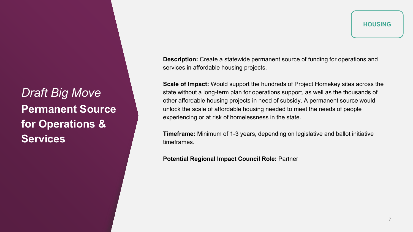*Draft Big Move* **Permanent Source for Operations & Services**

**HOUSING** 

**Description:** Create a statewide permanent source of funding for operations and services in affordable housing projects.

**Scale of Impact:** Would support the hundreds of Project Homekey sites across the state without a long-term plan for operations support, as well as the thousands of other affordable housing projects in need of subsidy. A permanent source would unlock the scale of affordable housing needed to meet the needs of people experiencing or at risk of homelessness in the state.

**Timeframe:** Minimum of 1-3 years, depending on legislative and ballot initiative timeframes.

**Potential Regional Impact Council Role:** Partner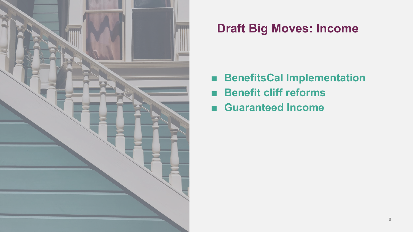

# **Draft Big Moves: Income**

- **BenefitsCal Implementation**
- **Benefit cliff reforms**
- Guaranteed Income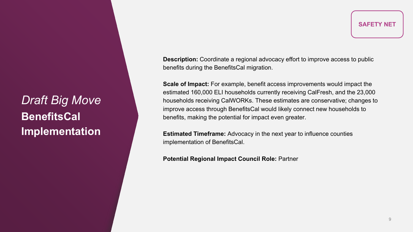*Draft Big Move* **BenefitsCal Implementation**

**Description:** Coordinate a regional advocacy effort to improve access to public benefits during the BenefitsCal migration.

**Scale of Impact:** For example, benefit access improvements would impact the estimated 160,000 ELI households currently receiving CalFresh, and the 23,000 households receiving CalWORKs. These estimates are conservative; changes to improve access through BenefitsCal would likely connect new households to benefits, making the potential for impact even greater.

**Estimated Timeframe:** Advocacy in the next year to influence counties implementation of BenefitsCal.

**Potential Regional Impact Council Role:** Partner

**SAFETY NET**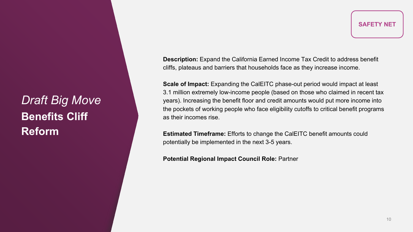*Draft Big Move* **Benefits Cliff Reform**

**SAFETY NET**

**Description:** Expand the California Earned Income Tax Credit to address benefit cliffs, plateaus and barriers that households face as they increase income.

**Scale of Impact:** Expanding the CalEITC phase-out period would impact at least 3.1 million extremely low-income people (based on those who claimed in recent tax years). Increasing the benefit floor and credit amounts would put more income into the pockets of working people who face eligibility cutoffs to critical benefit programs as their incomes rise.

**Estimated Timeframe:** Efforts to change the CalEITC benefit amounts could potentially be implemented in the next 3-5 years.

**Potential Regional Impact Council Role:** Partner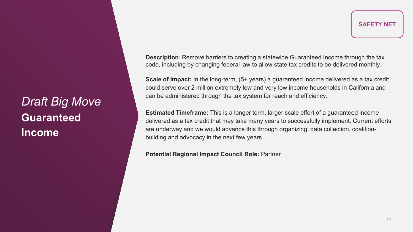*Draft Big Move* **Guaranteed Income**

**Description***:* Remove barriers to creating a statewide Guaranteed Income through the tax code, including by changing federal law to allow state tax credits to be delivered monthly.

**Scale of Impact:** In the long-term, (5+ years) a guaranteed income delivered as a tax credit could serve over 2 million extremely low and very low income households in California and can be administered through the tax system for reach and efficiency.

**Estimated Timeframe:** This is a longer term, larger scale effort of a guaranteed income delivered as a tax credit that may take many years to successfully implement. Current efforts are underway and we would advance this through organizing, data collection, coalitionbuilding and advocacy in the next few years

**Potential Regional Impact Council Role:** Partner

**SAFETY NET**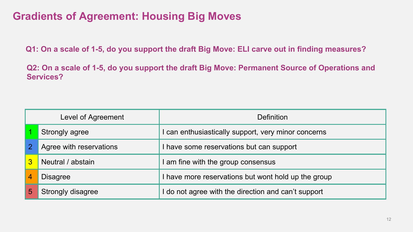### **Gradients of Agreement: Housing Big Moves**

**Q1: On a scale of 1-5, do you support the draft Big Move: ELI carve out in finding measures?** 

**Q2: On a scale of 1-5, do you support the draft Big Move: Permanent Source of Operations and Services?** 

| Level of Agreement |                          | <b>Definition</b>                                 |
|--------------------|--------------------------|---------------------------------------------------|
|                    | Strongly agree           | can enthusiastically support, very minor concerns |
| $\overline{2}$     | Agree with reservations  | have some reservations but can support            |
|                    | Neutral / abstain        | am fine with the group consensus                  |
| 4                  | <b>Disagree</b>          | have more reservations but wont hold up the group |
| 5                  | <b>Strongly disagree</b> | do not agree with the direction and can't support |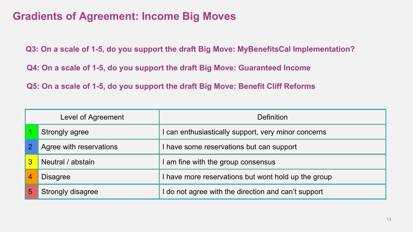### **Gradients of Agreement: Income Big Moves**

**Q3: On a scale of 1-5, do you support the draft Big Move: MyBenefitsCal Implementation?**

**Q4: On a scale of 1-5, do you support the draft Big Move: Guaranteed Income**

**Q5: On a scale of 1-5, do you support the draft Big Move: Benefit Cliff Reforms**

| Level of Agreement |                          | <b>Definition</b>                                   |
|--------------------|--------------------------|-----------------------------------------------------|
|                    | Strongly agree           | can enthusiastically support, very minor concerns   |
| $\overline{2}$     | Agree with reservations  | have some reservations but can support              |
| 3                  | Neutral / abstain        | am fine with the group consensus                    |
|                    | <b>Disagree</b>          | I have more reservations but wont hold up the group |
|                    | <b>Strongly disagree</b> | do not agree with the direction and can't support   |